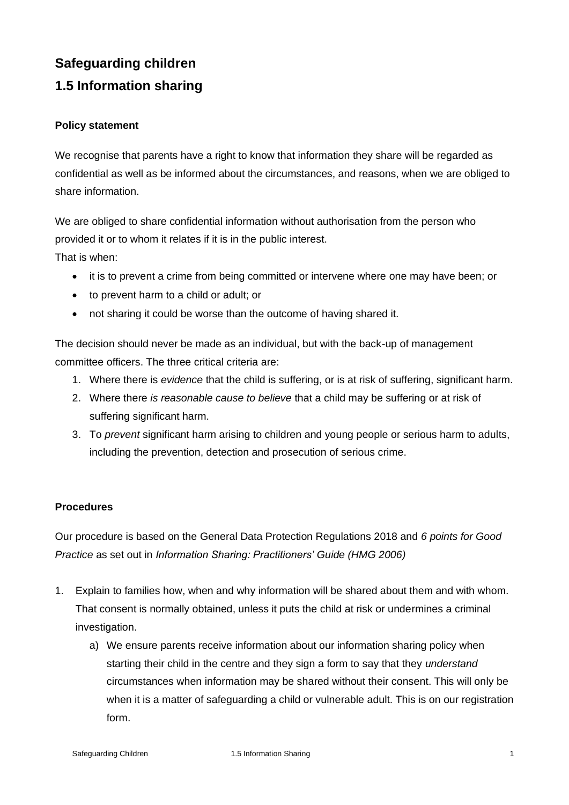# **Safeguarding children**

# **1.5 Information sharing**

## **Policy statement**

We recognise that parents have a right to know that information they share will be regarded as confidential as well as be informed about the circumstances, and reasons, when we are obliged to share information.

We are obliged to share confidential information without authorisation from the person who provided it or to whom it relates if it is in the public interest. That is when:

- it is to prevent a crime from being committed or intervene where one may have been; or
- to prevent harm to a child or adult; or
- not sharing it could be worse than the outcome of having shared it.

The decision should never be made as an individual, but with the back-up of management committee officers. The three critical criteria are:

- 1. Where there is *evidence* that the child is suffering, or is at risk of suffering, significant harm.
- 2. Where there *is reasonable cause to believe* that a child may be suffering or at risk of suffering significant harm.
- 3. To *prevent* significant harm arising to children and young people or serious harm to adults, including the prevention, detection and prosecution of serious crime.

## **Procedures**

Our procedure is based on the General Data Protection Regulations 2018 and *6 points for Good Practice* as set out in *Information Sharing: Practitioners' Guide (HMG 2006)*

- 1. Explain to families how, when and why information will be shared about them and with whom. That consent is normally obtained, unless it puts the child at risk or undermines a criminal investigation.
	- a) We ensure parents receive information about our information sharing policy when starting their child in the centre and they sign a form to say that they *understand* circumstances when information may be shared without their consent. This will only be when it is a matter of safeguarding a child or vulnerable adult. This is on our registration form.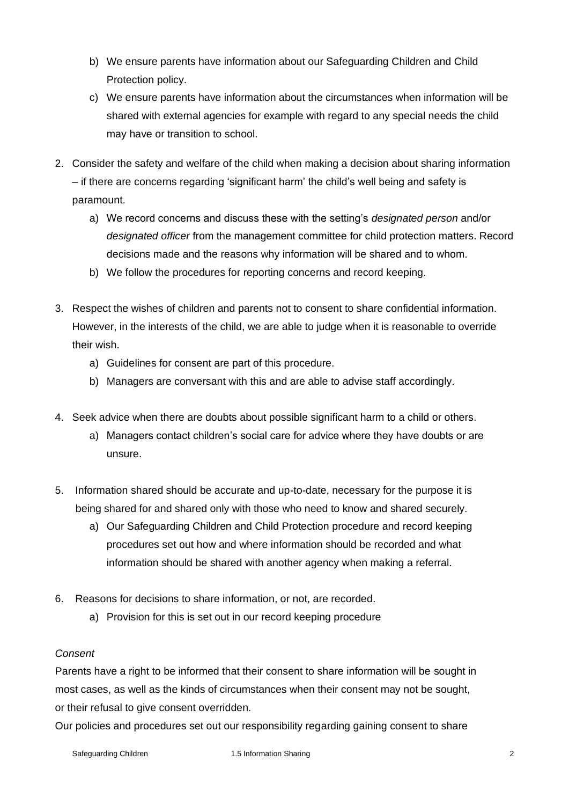- b) We ensure parents have information about our Safeguarding Children and Child Protection policy.
- c) We ensure parents have information about the circumstances when information will be shared with external agencies for example with regard to any special needs the child may have or transition to school.
- 2. Consider the safety and welfare of the child when making a decision about sharing information – if there are concerns regarding 'significant harm' the child's well being and safety is paramount.
	- a) We record concerns and discuss these with the setting's *designated person* and/or *designated officer* from the management committee for child protection matters. Record decisions made and the reasons why information will be shared and to whom.
	- b) We follow the procedures for reporting concerns and record keeping.
- 3. Respect the wishes of children and parents not to consent to share confidential information. However, in the interests of the child, we are able to judge when it is reasonable to override their wish.
	- a) Guidelines for consent are part of this procedure.
	- b) Managers are conversant with this and are able to advise staff accordingly.
- 4. Seek advice when there are doubts about possible significant harm to a child or others.
	- a) Managers contact children's social care for advice where they have doubts or are unsure.
- 5. Information shared should be accurate and up-to-date, necessary for the purpose it is being shared for and shared only with those who need to know and shared securely.
	- a) Our Safeguarding Children and Child Protection procedure and record keeping procedures set out how and where information should be recorded and what information should be shared with another agency when making a referral.
- 6. Reasons for decisions to share information, or not, are recorded.
	- a) Provision for this is set out in our record keeping procedure

## *Consent*

Parents have a right to be informed that their consent to share information will be sought in most cases, as well as the kinds of circumstances when their consent may not be sought, or their refusal to give consent overridden.

Our policies and procedures set out our responsibility regarding gaining consent to share